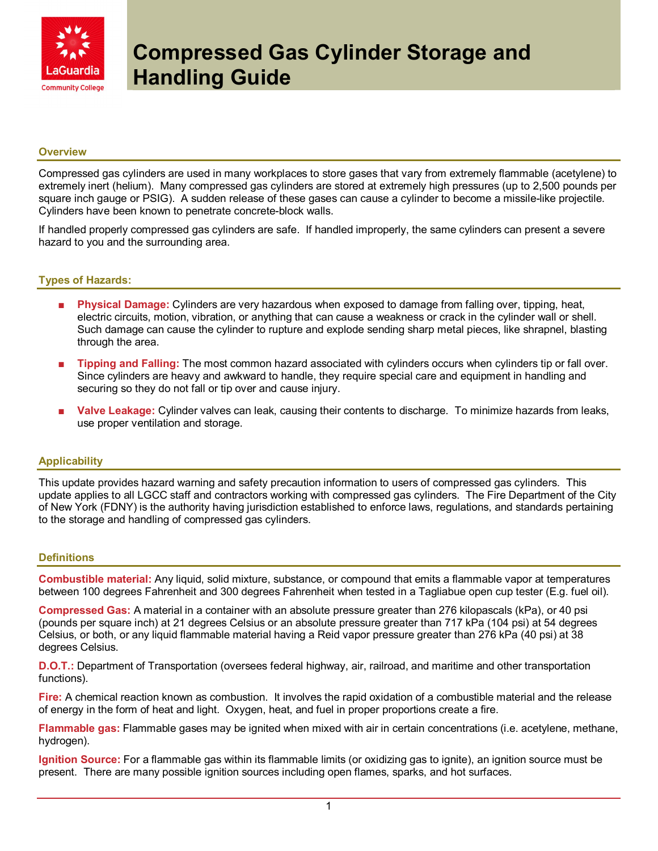

## **Overview**

Compressed gas cylinders are used in many workplaces to store gases that vary from extremely flammable (acetylene) to extremely inert (helium). Many compressed gas cylinders are stored at extremely high pressures (up to 2,500 pounds per square inch gauge or PSIG). A sudden release of these gases can cause a cylinder to become a missile-like projectile. Cylinders have been known to penetrate concrete-block walls.

If handled properly compressed gas cylinders are safe. If handled improperly, the same cylinders can present a severe hazard to you and the surrounding area.

## Types of Hazards:

- Physical Damage: Cylinders are very hazardous when exposed to damage from falling over, tipping, heat, electric circuits, motion, vibration, or anything that can cause a weakness or crack in the cylinder wall or shell. Such damage can cause the cylinder to rupture and explode sending sharp metal pieces, like shrapnel, blasting through the area.
- Tipping and Falling: The most common hazard associated with cylinders occurs when cylinders tip or fall over. Since cylinders are heavy and awkward to handle, they require special care and equipment in handling and securing so they do not fall or tip over and cause injury.
- Valve Leakage: Cylinder valves can leak, causing their contents to discharge. To minimize hazards from leaks, use proper ventilation and storage.

#### **Applicability**

This update provides hazard warning and safety precaution information to users of compressed gas cylinders. This update applies to all LGCC staff and contractors working with compressed gas cylinders. The Fire Department of the City of New York (FDNY) is the authority having jurisdiction established to enforce laws, regulations, and standards pertaining to the storage and handling of compressed gas cylinders.

#### **Definitions**

Combustible material: Any liquid, solid mixture, substance, or compound that emits a flammable vapor at temperatures between 100 degrees Fahrenheit and 300 degrees Fahrenheit when tested in a Tagliabue open cup tester (E.g. fuel oil).

Compressed Gas: A material in a container with an absolute pressure greater than 276 kilopascals (kPa), or 40 psi (pounds per square inch) at 21 degrees Celsius or an absolute pressure greater than 717 kPa (104 psi) at 54 degrees Celsius, or both, or any liquid flammable material having a Reid vapor pressure greater than 276 kPa (40 psi) at 38 degrees Celsius.

D.O.T.: Department of Transportation (oversees federal highway, air, railroad, and maritime and other transportation functions).

Fire: A chemical reaction known as combustion. It involves the rapid oxidation of a combustible material and the release of energy in the form of heat and light. Oxygen, heat, and fuel in proper proportions create a fire.

Flammable gas: Flammable gases may be ignited when mixed with air in certain concentrations (i.e. acetylene, methane, hydrogen).

Ignition Source: For a flammable gas within its flammable limits (or oxidizing gas to ignite), an ignition source must be present. There are many possible ignition sources including open flames, sparks, and hot surfaces.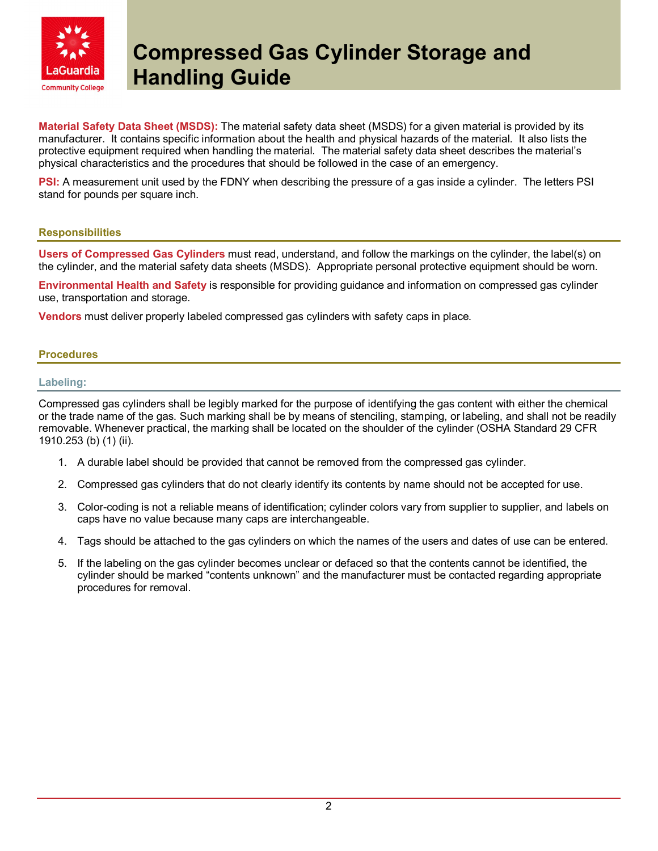

Material Safety Data Sheet (MSDS): The material safety data sheet (MSDS) for a given material is provided by its manufacturer. It contains specific information about the health and physical hazards of the material. It also lists the protective equipment required when handling the material. The material safety data sheet describes the material's physical characteristics and the procedures that should be followed in the case of an emergency.

**PSI:** A measurement unit used by the FDNY when describing the pressure of a gas inside a cylinder. The letters PSI stand for pounds per square inch.

## **Responsibilities**

Users of Compressed Gas Cylinders must read, understand, and follow the markings on the cylinder, the label(s) on the cylinder, and the material safety data sheets (MSDS). Appropriate personal protective equipment should be worn.

Environmental Health and Safety is responsible for providing guidance and information on compressed gas cylinder use, transportation and storage.

Vendors must deliver properly labeled compressed gas cylinders with safety caps in place.

## **Procedures**

## Labeling:

Compressed gas cylinders shall be legibly marked for the purpose of identifying the gas content with either the chemical or the trade name of the gas. Such marking shall be by means of stenciling, stamping, or labeling, and shall not be readily removable. Whenever practical, the marking shall be located on the shoulder of the cylinder (OSHA Standard 29 CFR 1910.253 (b) (1) (ii).

- 1. A durable label should be provided that cannot be removed from the compressed gas cylinder.
- 2. Compressed gas cylinders that do not clearly identify its contents by name should not be accepted for use.
- 3. Color-coding is not a reliable means of identification; cylinder colors vary from supplier to supplier, and labels on caps have no value because many caps are interchangeable.
- 4. Tags should be attached to the gas cylinders on which the names of the users and dates of use can be entered.
- 5. If the labeling on the gas cylinder becomes unclear or defaced so that the contents cannot be identified, the cylinder should be marked "contents unknown" and the manufacturer must be contacted regarding appropriate procedures for removal.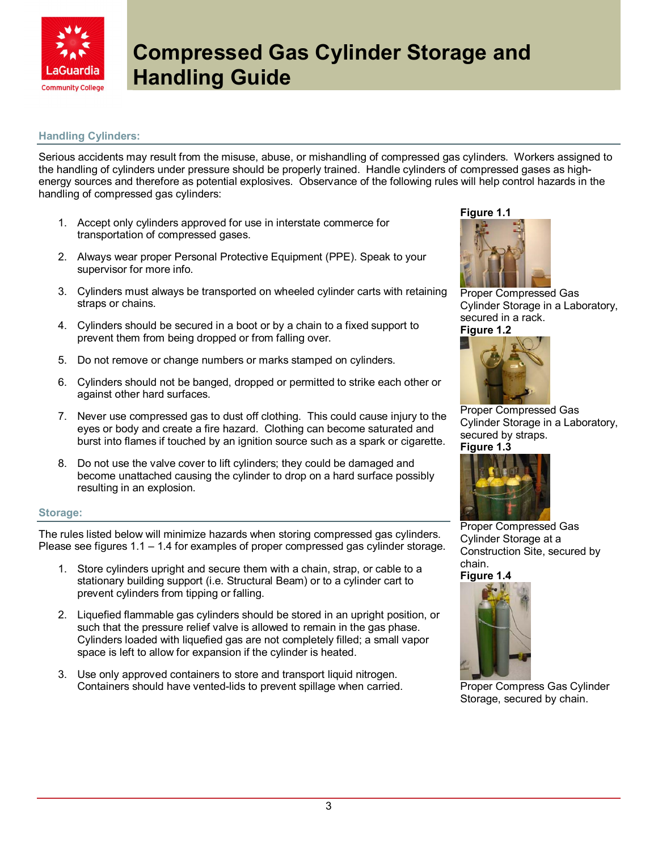

# Handling Cylinders:

Serious accidents may result from the misuse, abuse, or mishandling of compressed gas cylinders. Workers assigned to the handling of cylinders under pressure should be properly trained. Handle cylinders of compressed gases as highenergy sources and therefore as potential explosives. Observance of the following rules will help control hazards in the handling of compressed gas cylinders:

- 1. Accept only cylinders approved for use in interstate commerce for transportation of compressed gases.
- 2. Always wear proper Personal Protective Equipment (PPE). Speak to your supervisor for more info.
- 3. Cylinders must always be transported on wheeled cylinder carts with retaining straps or chains.
- 4. Cylinders should be secured in a boot or by a chain to a fixed support to prevent them from being dropped or from falling over.
- 5. Do not remove or change numbers or marks stamped on cylinders.
- 6. Cylinders should not be banged, dropped or permitted to strike each other or against other hard surfaces.
- 7. Never use compressed gas to dust off clothing. This could cause injury to the eyes or body and create a fire hazard. Clothing can become saturated and burst into flames if touched by an ignition source such as a spark or cigarette.
- 8. Do not use the valve cover to lift cylinders; they could be damaged and become unattached causing the cylinder to drop on a hard surface possibly resulting in an explosion.

#### Storage:

The rules listed below will minimize hazards when storing compressed gas cylinders. Please see figures 1.1 – 1.4 for examples of proper compressed gas cylinder storage.

- 1. Store cylinders upright and secure them with a chain, strap, or cable to a stationary building support (i.e. Structural Beam) or to a cylinder cart to prevent cylinders from tipping or falling.
- 2. Liquefied flammable gas cylinders should be stored in an upright position, or such that the pressure relief valve is allowed to remain in the gas phase. Cylinders loaded with liquefied gas are not completely filled; a small vapor space is left to allow for expansion if the cylinder is heated.
- 3. Use only approved containers to store and transport liquid nitrogen. Containers should have vented-lids to prevent spillage when carried.

Figure 1.1



Proper Compressed Gas Cylinder Storage in a Laboratory, secured in a rack. Figure 1.2



Proper Compressed Gas Cylinder Storage in a Laboratory, secured by straps. Figure 1.3



Proper Compressed Gas Cylinder Storage at a Construction Site, secured by chain.

Figure 1.4



Proper Compress Gas Cylinder Storage, secured by chain.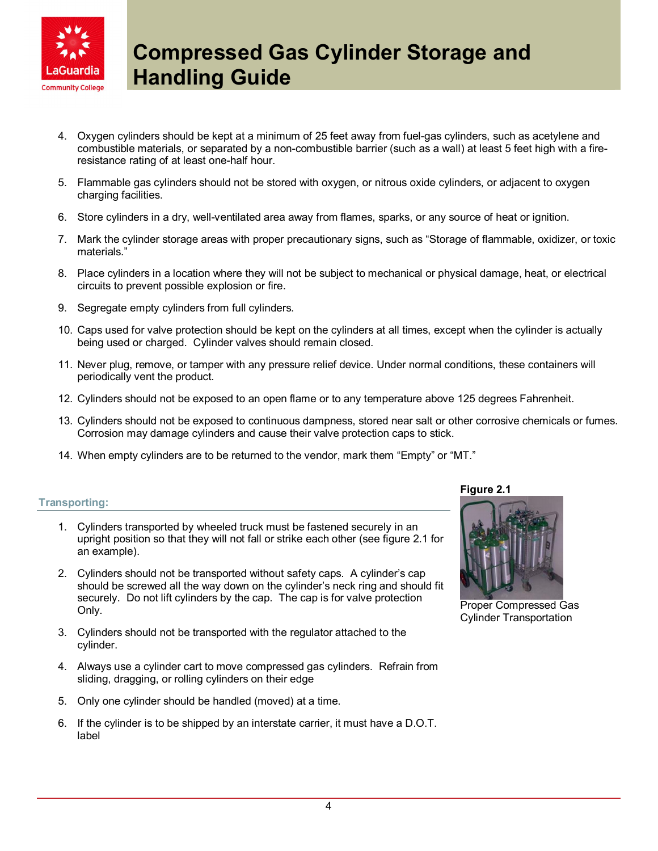

- 4. Oxygen cylinders should be kept at a minimum of 25 feet away from fuel-gas cylinders, such as acetylene and combustible materials, or separated by a non-combustible barrier (such as a wall) at least 5 feet high with a fireresistance rating of at least one-half hour.
- 5. Flammable gas cylinders should not be stored with oxygen, or nitrous oxide cylinders, or adjacent to oxygen charging facilities.
- 6. Store cylinders in a dry, well-ventilated area away from flames, sparks, or any source of heat or ignition.
- 7. Mark the cylinder storage areas with proper precautionary signs, such as "Storage of flammable, oxidizer, or toxic materials."
- 8. Place cylinders in a location where they will not be subject to mechanical or physical damage, heat, or electrical circuits to prevent possible explosion or fire.
- 9. Segregate empty cylinders from full cylinders.
- 10. Caps used for valve protection should be kept on the cylinders at all times, except when the cylinder is actually being used or charged. Cylinder valves should remain closed.
- 11. Never plug, remove, or tamper with any pressure relief device. Under normal conditions, these containers will periodically vent the product.
- 12. Cylinders should not be exposed to an open flame or to any temperature above 125 degrees Fahrenheit.
- 13. Cylinders should not be exposed to continuous dampness, stored near salt or other corrosive chemicals or fumes. Corrosion may damage cylinders and cause their valve protection caps to stick.
- 14. When empty cylinders are to be returned to the vendor, mark them "Empty" or "MT."

## Transporting:

Figure 2.1

Proper Compressed Gas Cylinder Transportation

- 1. Cylinders transported by wheeled truck must be fastened securely in an upright position so that they will not fall or strike each other (see figure 2.1 for an example).
- 2. Cylinders should not be transported without safety caps. A cylinder's cap should be screwed all the way down on the cylinder's neck ring and should fit securely. Do not lift cylinders by the cap. The cap is for valve protection Only.
- 3. Cylinders should not be transported with the regulator attached to the cylinder.
- 4. Always use a cylinder cart to move compressed gas cylinders. Refrain from sliding, dragging, or rolling cylinders on their edge
- 5. Only one cylinder should be handled (moved) at a time.
- 6. If the cylinder is to be shipped by an interstate carrier, it must have a D.O.T. label